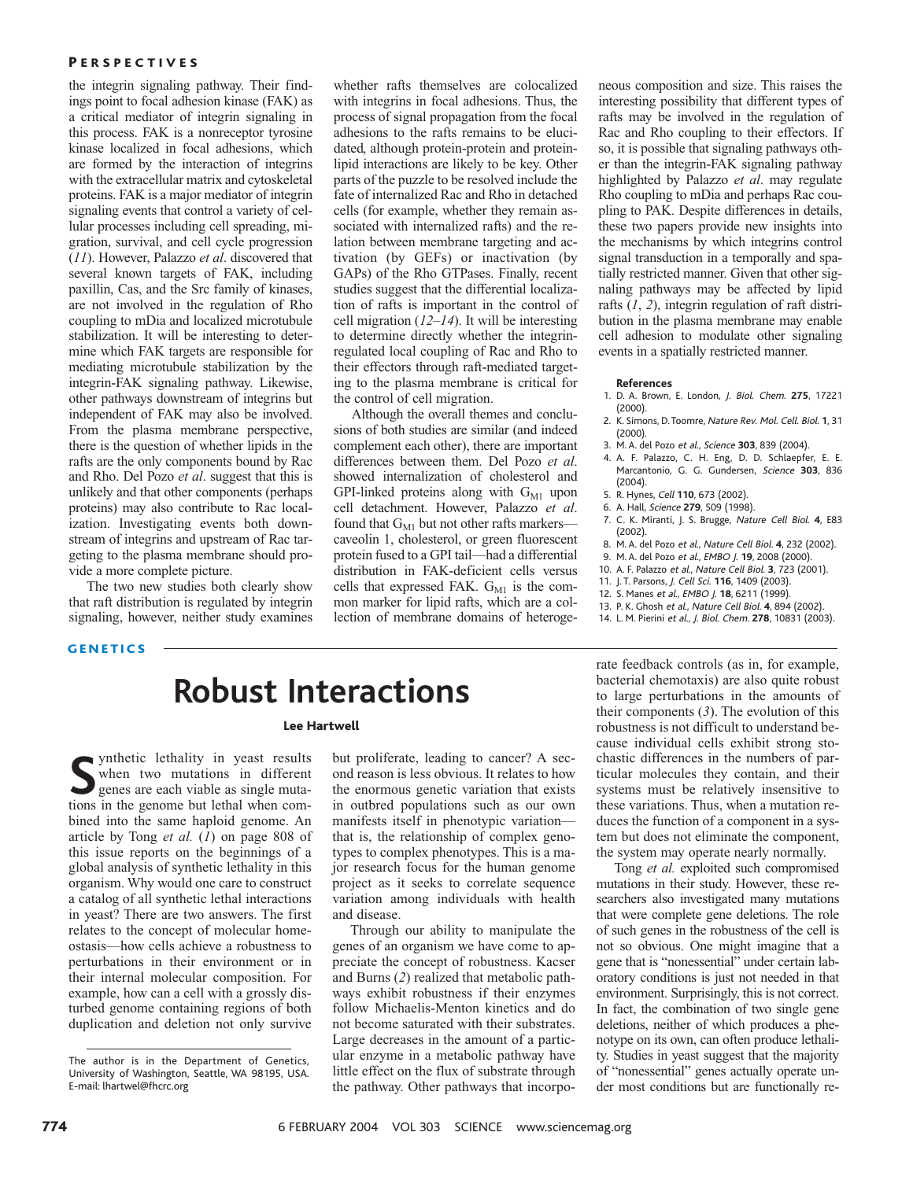### **PERSPECTIVES**

the integrin signaling pathway. Their findings point to focal adhesion kinase (FAK) as a critical mediator of integrin signaling in this process. FAK is a nonreceptor tyrosine kinase localized in focal adhesions, which are formed by the interaction of integrins with the extracellular matrix and cytoskeletal proteins. FAK is a major mediator of integrin signaling events that control a variety of cellular processes including cell spreading, migration, survival, and cell cycle progression (*11*). However, Palazzo *et al*. discovered that several known targets of FAK, including paxillin, Cas, and the Src family of kinases, are not involved in the regulation of Rho coupling to mDia and localized microtubule stabilization. It will be interesting to determine which FAK targets are responsible for mediating microtubule stabilization by the integrin-FAK signaling pathway. Likewise, other pathways downstream of integrins but independent of FAK may also be involved. From the plasma membrane perspective, there is the question of whether lipids in the rafts are the only components bound by Rac and Rho. Del Pozo *et al*. suggest that this is unlikely and that other components (perhaps proteins) may also contribute to Rac localization. Investigating events both downstream of integrins and upstream of Rac targeting to the plasma membrane should provide a more complete picture.

The two new studies both clearly show that raft distribution is regulated by integrin signaling, however, neither study examines

whether rafts themselves are colocalized with integrins in focal adhesions. Thus, the process of signal propagation from the focal adhesions to the rafts remains to be elucidated, although protein-protein and proteinlipid interactions are likely to be key. Other parts of the puzzle to be resolved include the fate of internalized Rac and Rho in detached cells (for example, whether they remain associated with internalized rafts) and the relation between membrane targeting and activation (by GEFs) or inactivation (by GAPs) of the Rho GTPases. Finally, recent studies suggest that the differential localization of rafts is important in the control of cell migration (*12*–*14*). It will be interesting to determine directly whether the integrinregulated local coupling of Rac and Rho to their effectors through raft-mediated targeting to the plasma membrane is critical for the control of cell migration.

Although the overall themes and conclusions of both studies are similar (and indeed complement each other), there are important differences between them. Del Pozo *et al*. showed internalization of cholesterol and GPI-linked proteins along with  $G_{M1}$  upon cell detachment. However, Palazzo *et al*. found that  $G_{\text{M1}}$  but not other rafts markers caveolin 1, cholesterol, or green fluorescent protein fused to a GPI tail—had a differential distribution in FAK-deficient cells versus cells that expressed FAK.  $G_{M1}$  is the common marker for lipid rafts, which are a collection of membrane domains of heterogeneous composition and size. This raises the interesting possibility that different types of rafts may be involved in the regulation of Rac and Rho coupling to their effectors. If so, it is possible that signaling pathways other than the integrin-FAK signaling pathway highlighted by Palazzo *et al*. may regulate Rho coupling to mDia and perhaps Rac coupling to PAK. Despite differences in details, these two papers provide new insights into the mechanisms by which integrins control signal transduction in a temporally and spatially restricted manner. Given that other signaling pathways may be affected by lipid rafts (*1*, *2*), integrin regulation of raft distribution in the plasma membrane may enable cell adhesion to modulate other signaling events in a spatially restricted manner.

#### **References**

- 1. D. A. Brown, E. London, J. Biol. Chem. **275**, 17221 (2000).
- 2. K. Simons, D.Toomre, Nature Rev. Mol. Cell. Biol. **1**, 31 (2000).
- 3. M. A. del Pozo et al., Science **303**, 839 (2004).
- 4. A. F. Palazzo, C. H. Eng, D. D. Schlaepfer, E. E. Marcantonio, G. G. Gundersen, Science **303**, 836 (2004).
- 5. R. Hynes, Cell **110**, 673 (2002).
- 6. A. Hall, Science **279**, 509 (1998).
- 7. C. K. Miranti, J. S. Brugge, Nature Cell Biol. **4**, E83 (2002).
- 8. M. A. del Pozo et al., Nature Cell Biol. **4**, 232 (2002).
- 9. M. A. del Pozo et al., EMBO J. **19**, 2008 (2000).
- 10. A. F. Palazzo et al., Nature Cell Biol. **3**, 723 (2001).
- 11. J. T. Parsons, J. Cell Sci. **116**, 1409 (2003).
- 12. S. Manes et al., EMBO J. **18**, 6211 (1999).
- 13. P. K. Ghosh et al., Nature Cell Biol. **4**, 894 (2002).
- 14. L. M. Pierini et al., J. Biol. Chem. **278**, 10831 (2003).

### GENETICS

# **Robust Interactions**

#### Lee Hartwell

**S** ynthetic lethality in yeast results<br>
genes are each viable as single muta-<br>
tions in the genome but lethal when comwhen two mutations in different genes are each viable as single mutations in the genome but lethal when combined into the same haploid genome. An article by Tong *et al.* (*1*) on page 808 of this issue reports on the beginnings of a global analysis of synthetic lethality in this organism. Why would one care to construct a catalog of all synthetic lethal interactions in yeast? There are two answers. The first relates to the concept of molecular homeostasis—how cells achieve a robustness to perturbations in their environment or in their internal molecular composition. For example, how can a cell with a grossly disturbed genome containing regions of both duplication and deletion not only survive but proliferate, leading to cancer? A second reason is less obvious. It relates to how the enormous genetic variation that exists in outbred populations such as our own manifests itself in phenotypic variation that is, the relationship of complex genotypes to complex phenotypes. This is a major research focus for the human genome project as it seeks to correlate sequence variation among individuals with health and disease.

Through our ability to manipulate the genes of an organism we have come to appreciate the concept of robustness. Kacser and Burns (*2*) realized that metabolic pathways exhibit robustness if their enzymes follow Michaelis-Menton kinetics and do not become saturated with their substrates. Large decreases in the amount of a particular enzyme in a metabolic pathway have little effect on the flux of substrate through the pathway. Other pathways that incorporate feedback controls (as in, for example, bacterial chemotaxis) are also quite robust to large perturbations in the amounts of their components (*3*). The evolution of this robustness is not difficult to understand because individual cells exhibit strong stochastic differences in the numbers of particular molecules they contain, and their systems must be relatively insensitive to these variations. Thus, when a mutation reduces the function of a component in a system but does not eliminate the component, the system may operate nearly normally.

Tong *et al.* exploited such compromised mutations in their study. However, these researchers also investigated many mutations that were complete gene deletions. The role of such genes in the robustness of the cell is not so obvious. One might imagine that a gene that is "nonessential" under certain laboratory conditions is just not needed in that environment. Surprisingly, this is not correct. In fact, the combination of two single gene deletions, neither of which produces a phenotype on its own, can often produce lethality. Studies in yeast suggest that the majority of "nonessential" genes actually operate under most conditions but are functionally re-

The author is in the Department of Genetics, University of Washington, Seattle, WA 98195, USA. E-mail: lhartwel@fhcrc.org